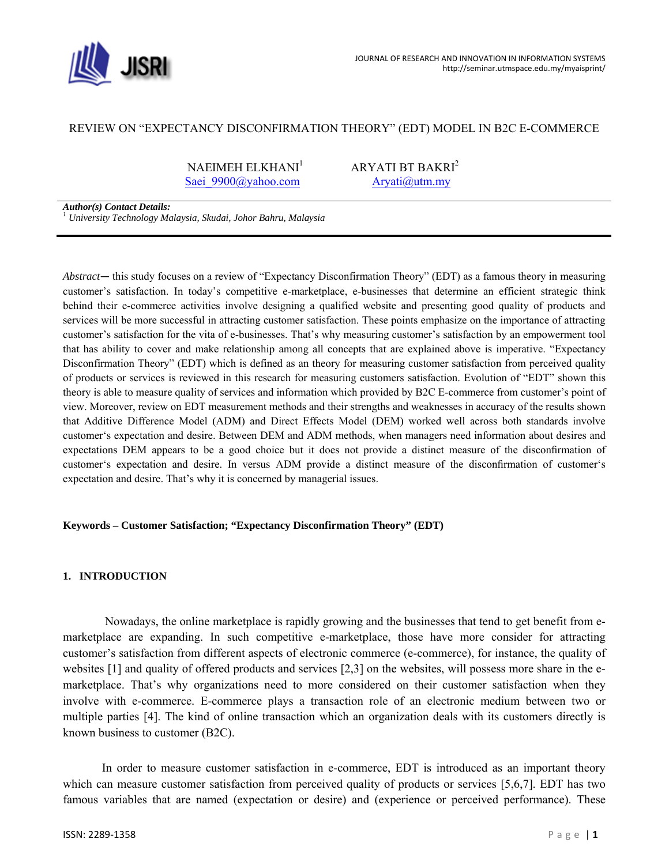

## REVIEW ON "EXPECTANCY DISCONFIRMATION THEORY" (EDT) MODEL IN B2C E-COMMERCE

NAEIMEH ELKHANI $1$  ARYATI BT BAKRI<sup>2</sup> Saei 9900@yahoo.com Aryati@utm.my

*Author(s) Contact Details: 1 University Technology Malaysia, Skudai, Johor Bahru, Malaysia* 

*Abstract*— this study focuses on a review of "Expectancy Disconfirmation Theory" (EDT) as a famous theory in measuring customer's satisfaction. In today's competitive e-marketplace, e-businesses that determine an efficient strategic think behind their e-commerce activities involve designing a qualified website and presenting good quality of products and services will be more successful in attracting customer satisfaction. These points emphasize on the importance of attracting customer's satisfaction for the vita of e-businesses. That's why measuring customer's satisfaction by an empowerment tool that has ability to cover and make relationship among all concepts that are explained above is imperative. "Expectancy Disconfirmation Theory" (EDT) which is defined as an theory for measuring customer satisfaction from perceived quality of products or services is reviewed in this research for measuring customers satisfaction. Evolution of "EDT" shown this theory is able to measure quality of services and information which provided by B2C E-commerce from customer's point of view. Moreover, review on EDT measurement methods and their strengths and weaknesses in accuracy of the results shown that Additive Difference Model (ADM) and Direct Effects Model (DEM) worked well across both standards involve customer's expectation and desire. Between DEM and ADM methods, when managers need information about desires and expectations DEM appears to be a good choice but it does not provide a distinct measure of the disconfirmation of customer's expectation and desire. In versus ADM provide a distinct measure of the disconfirmation of customer's expectation and desire. That's why it is concerned by managerial issues.

### **Keywords – Customer Satisfaction; "Expectancy Disconfirmation Theory" (EDT)**

### **1. INTRODUCTION**

 Nowadays, the online marketplace is rapidly growing and the businesses that tend to get benefit from emarketplace are expanding. In such competitive e-marketplace, those have more consider for attracting customer's satisfaction from different aspects of electronic commerce (e-commerce), for instance, the quality of websites [1] and quality of offered products and services [2,3] on the websites, will possess more share in the emarketplace. That's why organizations need to more considered on their customer satisfaction when they involve with e-commerce. E-commerce plays a transaction role of an electronic medium between two or multiple parties [4]. The kind of online transaction which an organization deals with its customers directly is known business to customer (B2C).

 In order to measure customer satisfaction in e-commerce, EDT is introduced as an important theory which can measure customer satisfaction from perceived quality of products or services [5,6,7]. EDT has two famous variables that are named (expectation or desire) and (experience or perceived performance). These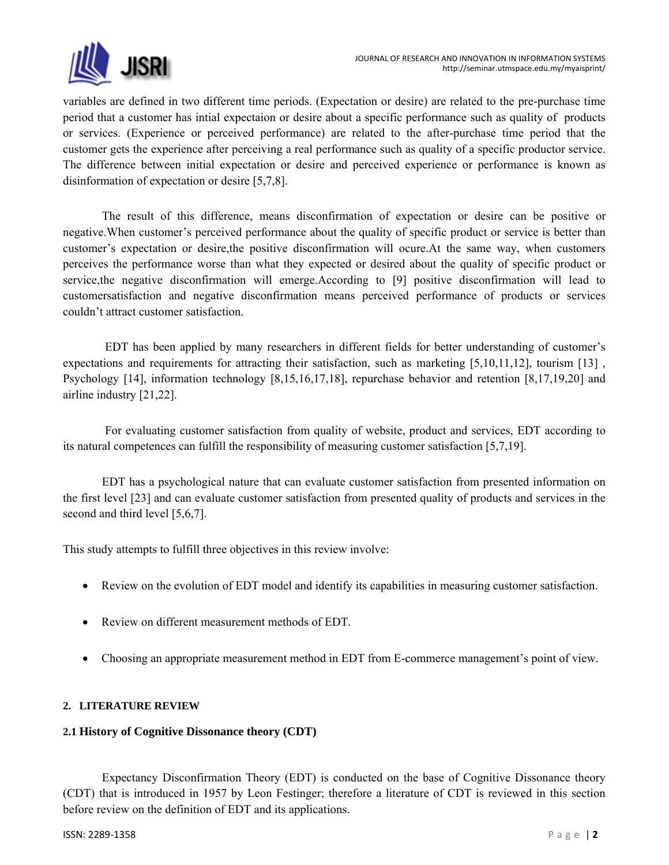

variables are defined in two different time periods. (Expectation or desire) are related to the pre-purchase time period that a customer has intial expectaion or desire about a specific performance such as quality of products or services. (Experience or perceived performance) are related to the after-purchase time period that the customer gets the experience after perceiving a real performance such as quality of a specific productor service. The difference between initial expectation or desire and perceived experience or performance is known as disinformation of expectation or desire [5,7,8].

 The result of this difference, means disconfirmation of expectation or desire can be positive or negative.When customer's perceived performance about the quality of specific product or service is better than customer's expectation or desire,the positive disconfirmation will ocure.At the same way, when customers perceives the performance worse than what they expected or desired about the quality of specific product or service,the negative disconfirmation will emerge.According to [9] positive disconfirmation will lead to customersatisfaction and negative disconfirmation means perceived performance of products or services couldn't attract customer satisfaction.

 EDT has been applied by many researchers in different fields for better understanding of customer's expectations and requirements for attracting their satisfaction, such as marketing [5,10,11,12], tourism [13] , Psychology [14], information technology [8,15,16,17,18], repurchase behavior and retention [8,17,19,20] and airline industry [21,22].

 For evaluating customer satisfaction from quality of website, product and services, EDT according to its natural competences can fulfill the responsibility of measuring customer satisfaction [5,7,19].

 EDT has a psychological nature that can evaluate customer satisfaction from presented information on the first level [23] and can evaluate customer satisfaction from presented quality of products and services in the second and third level [5,6,7].

This study attempts to fulfill three objectives in this review involve:

- Review on the evolution of EDT model and identify its capabilities in measuring customer satisfaction.
- Review on different measurement methods of EDT.
- Choosing an appropriate measurement method in EDT from E-commerce management's point of view.

## **2. LITERATURE REVIEW**

## **2.1 History of Cognitive Dissonance theory (CDT)**

 Expectancy Disconfirmation Theory (EDT) is conducted on the base of Cognitive Dissonance theory (CDT) that is introduced in 1957 by Leon Festinger; therefore a literature of CDT is reviewed in this section before review on the definition of EDT and its applications.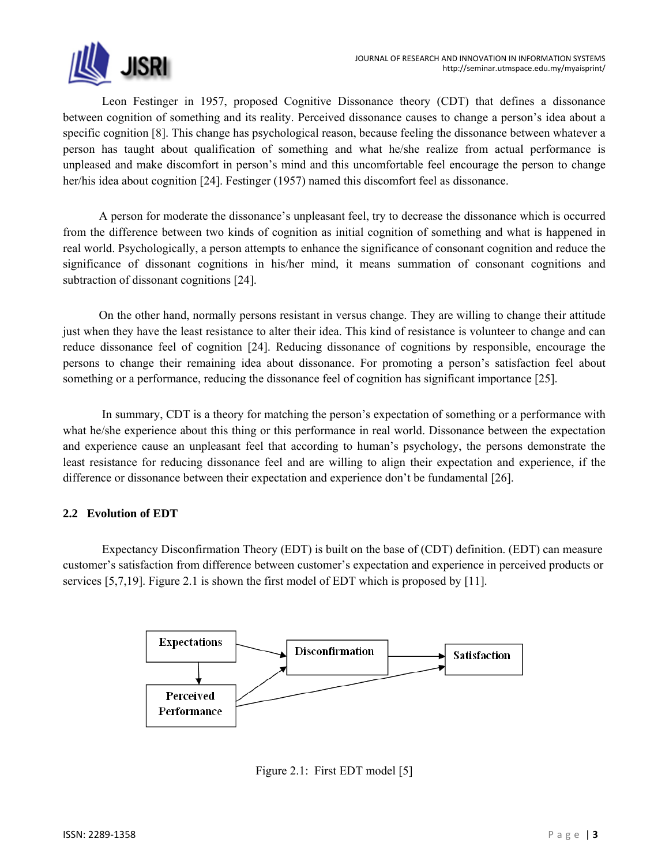

 Leon Festinger in 1957, proposed Cognitive Dissonance theory (CDT) that defines a dissonance between cognition of something and its reality. Perceived dissonance causes to change a person's idea about a specific cognition [8]. This change has psychological reason, because feeling the dissonance between whatever a person has taught about qualification of something and what he/she realize from actual performance is unpleased and make discomfort in person's mind and this uncomfortable feel encourage the person to change her/his idea about cognition [24]. Festinger (1957) named this discomfort feel as dissonance.

 A person for moderate the dissonance's unpleasant feel, try to decrease the dissonance which is occurred from the difference between two kinds of cognition as initial cognition of something and what is happened in real world. Psychologically, a person attempts to enhance the significance of consonant cognition and reduce the significance of dissonant cognitions in his/her mind, it means summation of consonant cognitions and subtraction of dissonant cognitions [24].

 On the other hand, normally persons resistant in versus change. They are willing to change their attitude just when they have the least resistance to alter their idea. This kind of resistance is volunteer to change and can reduce dissonance feel of cognition [24]. Reducing dissonance of cognitions by responsible, encourage the persons to change their remaining idea about dissonance. For promoting a person's satisfaction feel about something or a performance, reducing the dissonance feel of cognition has significant importance [25].

 In summary, CDT is a theory for matching the person's expectation of something or a performance with what he/she experience about this thing or this performance in real world. Dissonance between the expectation and experience cause an unpleasant feel that according to human's psychology, the persons demonstrate the least resistance for reducing dissonance feel and are willing to align their expectation and experience, if the difference or dissonance between their expectation and experience don't be fundamental [26].

# **2.2 Evolution of EDT**

 Expectancy Disconfirmation Theory (EDT) is built on the base of (CDT) definition. (EDT) can measure customer's satisfaction from difference between customer's expectation and experience in perceived products or services [5,7,19]. Figure 2.1 is shown the first model of EDT which is proposed by [11].



Figure 2.1: First EDT model [5]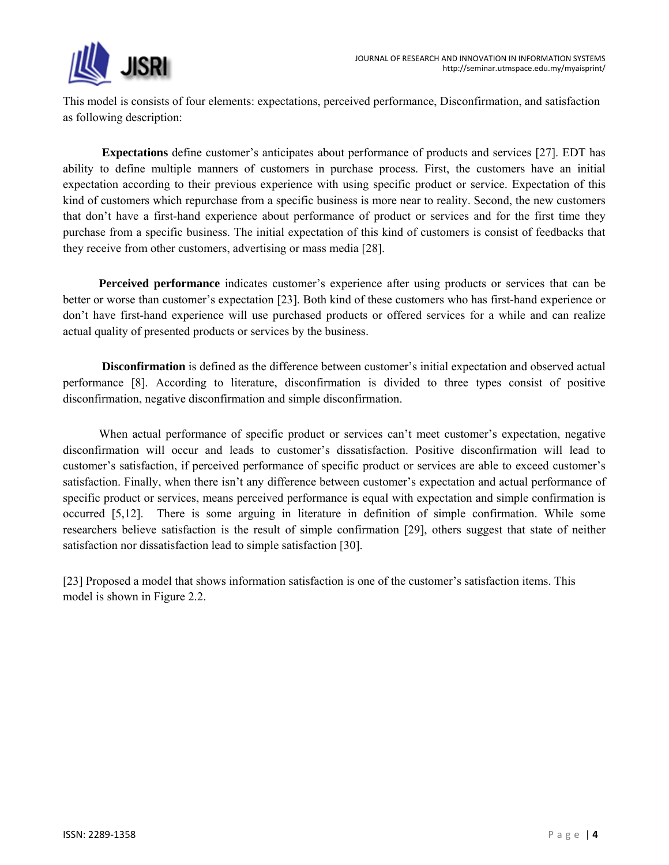

This model is consists of four elements: expectations, perceived performance, Disconfirmation, and satisfaction as following description:

 **Expectations** define customer's anticipates about performance of products and services [27]. EDT has ability to define multiple manners of customers in purchase process. First, the customers have an initial expectation according to their previous experience with using specific product or service. Expectation of this kind of customers which repurchase from a specific business is more near to reality. Second, the new customers that don't have a first-hand experience about performance of product or services and for the first time they purchase from a specific business. The initial expectation of this kind of customers is consist of feedbacks that they receive from other customers, advertising or mass media [28].

 **Perceived performance** indicates customer's experience after using products or services that can be better or worse than customer's expectation [23]. Both kind of these customers who has first-hand experience or don't have first-hand experience will use purchased products or offered services for a while and can realize actual quality of presented products or services by the business.

 **Disconfirmation** is defined as the difference between customer's initial expectation and observed actual performance [8]. According to literature, disconfirmation is divided to three types consist of positive disconfirmation, negative disconfirmation and simple disconfirmation.

When actual performance of specific product or services can't meet customer's expectation, negative disconfirmation will occur and leads to customer's dissatisfaction. Positive disconfirmation will lead to customer's satisfaction, if perceived performance of specific product or services are able to exceed customer's satisfaction. Finally, when there isn't any difference between customer's expectation and actual performance of specific product or services, means perceived performance is equal with expectation and simple confirmation is occurred [5,12]. There is some arguing in literature in definition of simple confirmation. While some researchers believe satisfaction is the result of simple confirmation [29], others suggest that state of neither satisfaction nor dissatisfaction lead to simple satisfaction [30].

[23] Proposed a model that shows information satisfaction is one of the customer's satisfaction items. This model is shown in Figure 2.2.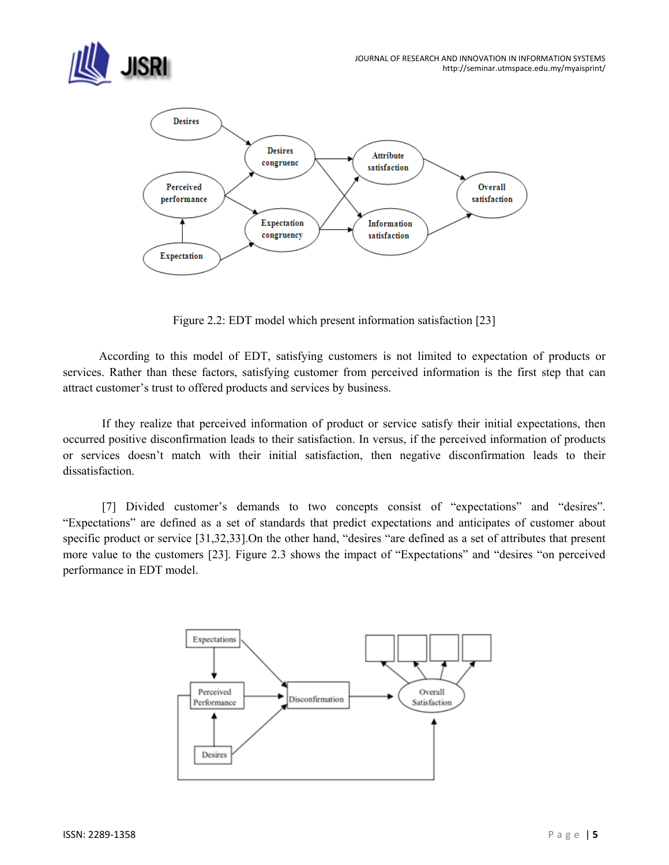



Figure 2.2: EDT model which present information satisfaction [23]

 According to this model of EDT, satisfying customers is not limited to expectation of products or services. Rather than these factors, satisfying customer from perceived information is the first step that can attract customer's trust to offered products and services by business.

 If they realize that perceived information of product or service satisfy their initial expectations, then occurred positive disconfirmation leads to their satisfaction. In versus, if the perceived information of products or services doesn't match with their initial satisfaction, then negative disconfirmation leads to their dissatisfaction.

 [7] Divided customer's demands to two concepts consist of "expectations" and "desires". "Expectations" are defined as a set of standards that predict expectations and anticipates of customer about specific product or service [31,32,33].On the other hand, "desires "are defined as a set of attributes that present more value to the customers [23]. Figure 2.3 shows the impact of "Expectations" and "desires "on perceived performance in EDT model.

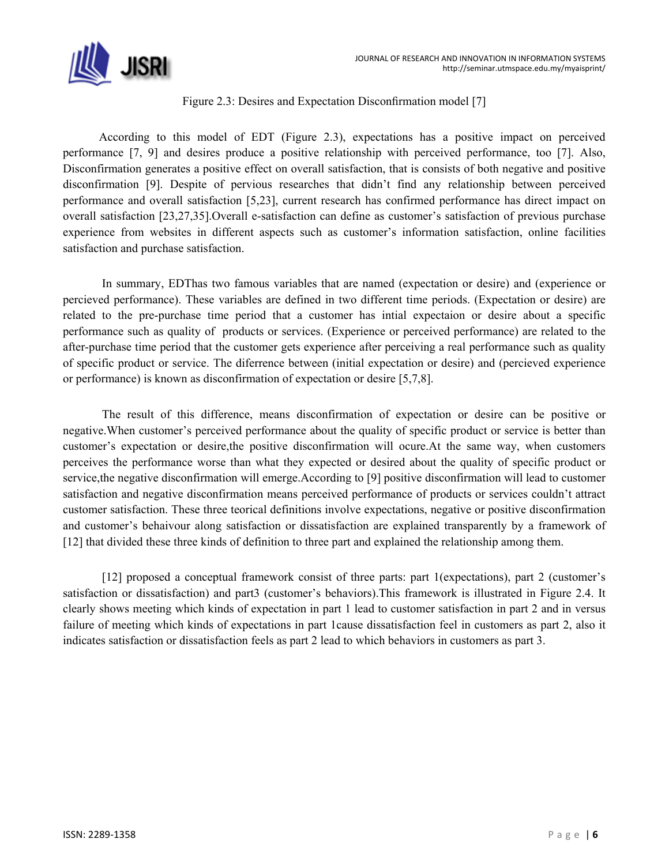

## Figure 2.3: Desires and Expectation Disconfirmation model [7]

 According to this model of EDT (Figure 2.3), expectations has a positive impact on perceived performance [7, 9] and desires produce a positive relationship with perceived performance, too [7]. Also, Disconfirmation generates a positive effect on overall satisfaction, that is consists of both negative and positive disconfirmation [9]. Despite of pervious researches that didn't find any relationship between perceived performance and overall satisfaction [5,23], current research has confirmed performance has direct impact on overall satisfaction [23,27,35].Overall e-satisfaction can define as customer's satisfaction of previous purchase experience from websites in different aspects such as customer's information satisfaction, online facilities satisfaction and purchase satisfaction.

 In summary, EDThas two famous variables that are named (expectation or desire) and (experience or percieved performance). These variables are defined in two different time periods. (Expectation or desire) are related to the pre-purchase time period that a customer has intial expectaion or desire about a specific performance such as quality of products or services. (Experience or perceived performance) are related to the after-purchase time period that the customer gets experience after perceiving a real performance such as quality of specific product or service. The diferrence between (initial expectation or desire) and (percieved experience or performance) is known as disconfirmation of expectation or desire [5,7,8].

 The result of this difference, means disconfirmation of expectation or desire can be positive or negative.When customer's perceived performance about the quality of specific product or service is better than customer's expectation or desire,the positive disconfirmation will ocure.At the same way, when customers perceives the performance worse than what they expected or desired about the quality of specific product or service,the negative disconfirmation will emerge.According to [9] positive disconfirmation will lead to customer satisfaction and negative disconfirmation means perceived performance of products or services couldn't attract customer satisfaction. These three teorical definitions involve expectations, negative or positive disconfirmation and customer's behaivour along satisfaction or dissatisfaction are explained transparently by a framework of [12] that divided these three kinds of definition to three part and explained the relationship among them.

 [12] proposed a conceptual framework consist of three parts: part 1(expectations), part 2 (customer's satisfaction or dissatisfaction) and part3 (customer's behaviors).This framework is illustrated in Figure 2.4. It clearly shows meeting which kinds of expectation in part 1 lead to customer satisfaction in part 2 and in versus failure of meeting which kinds of expectations in part 1cause dissatisfaction feel in customers as part 2, also it indicates satisfaction or dissatisfaction feels as part 2 lead to which behaviors in customers as part 3.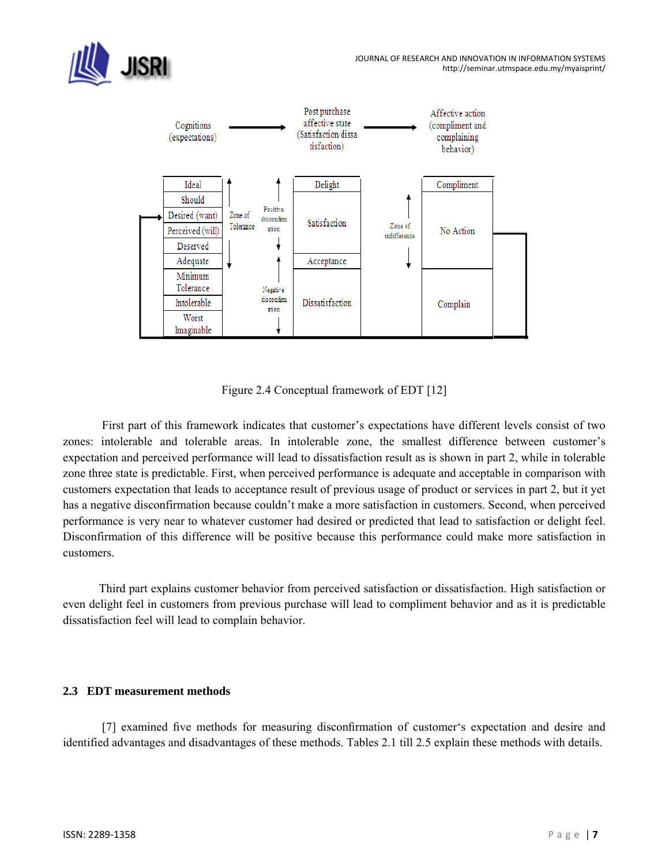



Figure 2.4 Conceptual framework of EDT [12]

 First part of this framework indicates that customer's expectations have different levels consist of two zones: intolerable and tolerable areas. In intolerable zone, the smallest difference between customer's expectation and perceived performance will lead to dissatisfaction result as is shown in part 2, while in tolerable zone three state is predictable. First, when perceived performance is adequate and acceptable in comparison with customers expectation that leads to acceptance result of previous usage of product or services in part 2, but it yet has a negative disconfirmation because couldn't make a more satisfaction in customers. Second, when perceived performance is very near to whatever customer had desired or predicted that lead to satisfaction or delight feel. Disconfirmation of this difference will be positive because this performance could make more satisfaction in customers.

 Third part explains customer behavior from perceived satisfaction or dissatisfaction. High satisfaction or even delight feel in customers from previous purchase will lead to compliment behavior and as it is predictable dissatisfaction feel will lead to complain behavior.

## **2.3 EDT measurement methods**

 [7] examined five methods for measuring disconfirmation of customer's expectation and desire and identified advantages and disadvantages of these methods. Tables 2.1 till 2.5 explain these methods with details.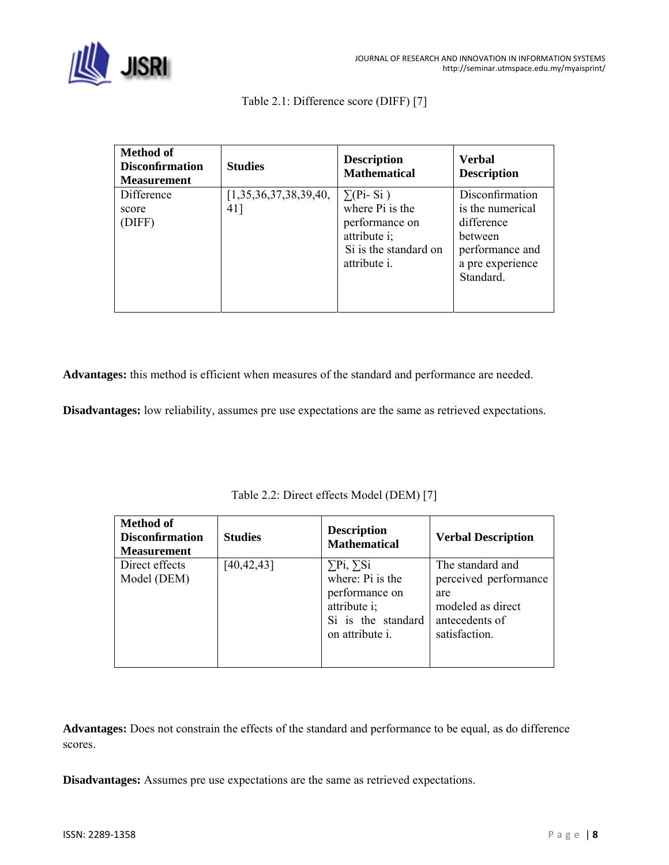

|  | Table 2.1: Difference score (DIFF) [7] |  |
|--|----------------------------------------|--|
|--|----------------------------------------|--|

| <b>Method of</b><br><b>Disconfirmation</b><br><b>Measurement</b> | <b>Studies</b>        | <b>Description</b><br><b>Mathematical</b> | Verbal<br><b>Description</b> |
|------------------------------------------------------------------|-----------------------|-------------------------------------------|------------------------------|
| Difference                                                       | [1,35,36,37,38,39,40, | $\Sigma$ (Pi-Si)                          | Disconfirmation              |
| score                                                            | 41]                   | where Pi is the                           | is the numerical             |
| (DIFF)                                                           |                       | performance on                            | difference                   |
|                                                                  |                       | attribute i;                              | <b>between</b>               |
|                                                                  |                       | Si is the standard on                     | performance and              |
|                                                                  |                       | attribute <i>i</i> .                      | a pre experience             |
|                                                                  |                       |                                           | Standard.                    |
|                                                                  |                       |                                           |                              |
|                                                                  |                       |                                           |                              |

**Advantages:** this method is efficient when measures of the standard and performance are needed.

**Disadvantages:** low reliability, assumes pre use expectations are the same as retrieved expectations.

| <b>Method of</b><br><b>Disconfirmation</b><br><b>Measurement</b> | <b>Studies</b> | <b>Description</b><br><b>Mathematical</b>                                                                               | <b>Verbal Description</b>                                                                                |
|------------------------------------------------------------------|----------------|-------------------------------------------------------------------------------------------------------------------------|----------------------------------------------------------------------------------------------------------|
| Direct effects<br>Model (DEM)                                    | [40, 42, 43]   | $\Sigma$ Pi, $\Sigma$ Si<br>where: Pi is the<br>performance on<br>attribute i;<br>Si is the standard<br>on attribute i. | The standard and<br>perceived performance<br>are<br>modeled as direct<br>antecedents of<br>satisfaction. |

Table 2.2: Direct effects Model (DEM) [7]

**Advantages:** Does not constrain the effects of the standard and performance to be equal, as do difference scores.

**Disadvantages:** Assumes pre use expectations are the same as retrieved expectations.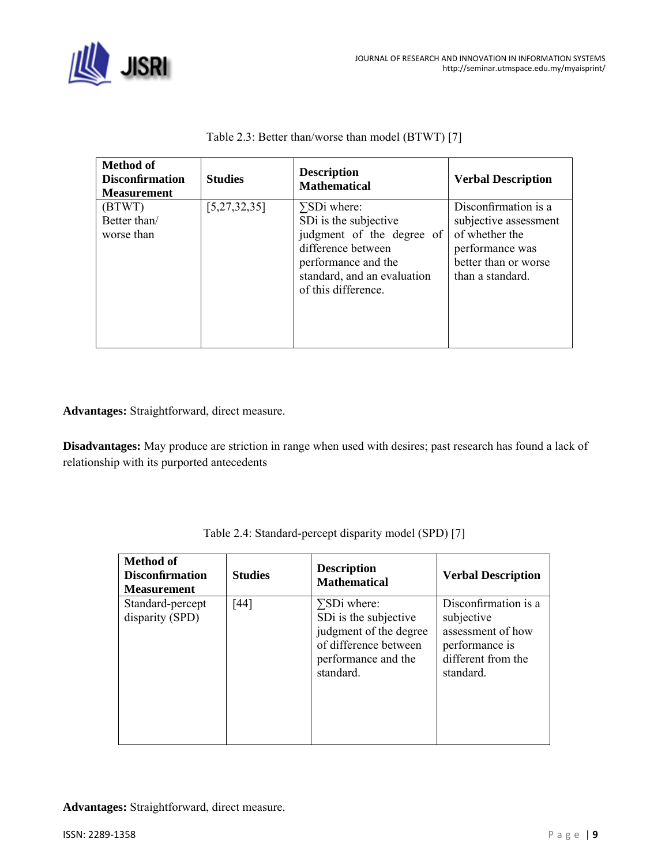

| <b>Method of</b><br><b>Disconfirmation</b><br><b>Measurement</b> | <b>Studies</b>  | <b>Description</b><br><b>Mathematical</b>                                                                                                                                    | <b>Verbal Description</b>                                                                                                      |
|------------------------------------------------------------------|-----------------|------------------------------------------------------------------------------------------------------------------------------------------------------------------------------|--------------------------------------------------------------------------------------------------------------------------------|
| (BTWT)<br>Better than/<br>worse than                             | [5, 27, 32, 35] | $\Sigma$ SDi where:<br>SDi is the subjective<br>judgment of the degree of<br>difference between<br>performance and the<br>standard, and an evaluation<br>of this difference. | Disconfirmation is a<br>subjective assessment<br>of whether the<br>performance was<br>better than or worse<br>than a standard. |

Table 2.3: Better than/worse than model (BTWT) [7]

**Advantages:** Straightforward, direct measure.

**Disadvantages:** May produce are striction in range when used with desires; past research has found a lack of relationship with its purported antecedents

| <b>Method of</b><br><b>Disconfirmation</b><br><b>Measurement</b> | <b>Studies</b> | <b>Description</b><br><b>Mathematical</b>                                                                                           | <b>Verbal Description</b>                                                                                    |
|------------------------------------------------------------------|----------------|-------------------------------------------------------------------------------------------------------------------------------------|--------------------------------------------------------------------------------------------------------------|
| Standard-percept<br>disparity (SPD)                              | [44]           | $\Sigma$ SDi where:<br>SDi is the subjective<br>judgment of the degree<br>of difference between<br>performance and the<br>standard. | Disconfirmation is a<br>subjective<br>assessment of how<br>performance is<br>different from the<br>standard. |

| Table 2.4: Standard-percept disparity model (SPD) [7] |  |
|-------------------------------------------------------|--|
|                                                       |  |

**Advantages:** Straightforward, direct measure.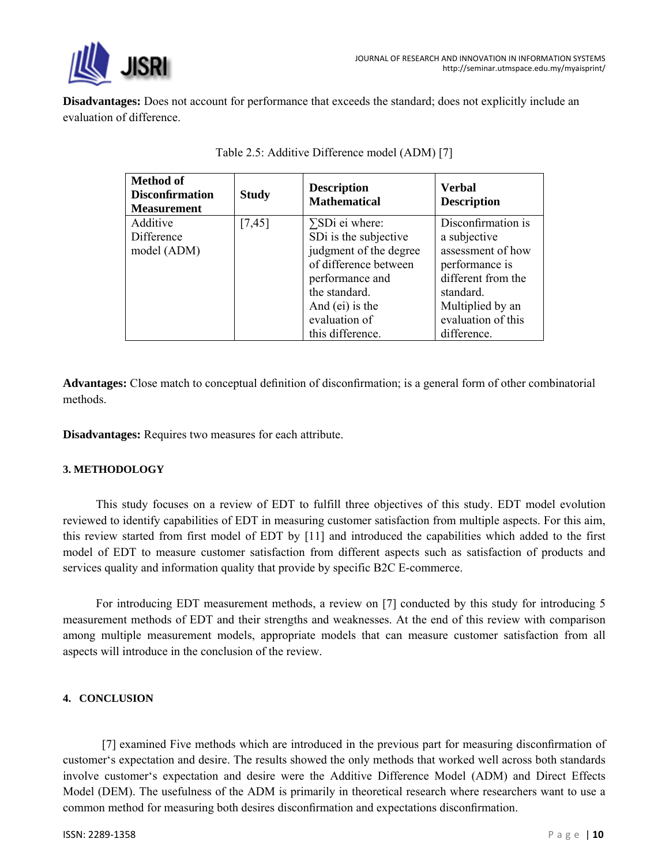

**Disadvantages:** Does not account for performance that exceeds the standard; does not explicitly include an evaluation of difference.

| <b>Method of</b><br><b>Disconfirmation</b><br><b>Measurement</b> | <b>Study</b> | <b>Description</b><br><b>Mathematical</b>                                                                                                                 | <b>Verbal</b><br><b>Description</b>                                                                                              |
|------------------------------------------------------------------|--------------|-----------------------------------------------------------------------------------------------------------------------------------------------------------|----------------------------------------------------------------------------------------------------------------------------------|
| Additive<br>Difference<br>model (ADM)                            | [7,45]       | $\Sigma$ SDi ei where:<br>SDi is the subjective<br>judgment of the degree<br>of difference between<br>performance and<br>the standard.<br>And (ei) is the | Disconfirmation is<br>a subjective<br>assessment of how<br>performance is<br>different from the<br>standard.<br>Multiplied by an |
|                                                                  |              | evaluation of<br>this difference.                                                                                                                         | evaluation of this<br>difference.                                                                                                |

| Table 2.5: Additive Difference model (ADM) [7] |
|------------------------------------------------|
|------------------------------------------------|

**Advantages:** Close match to conceptual definition of disconfirmation; is a general form of other combinatorial methods.

**Disadvantages:** Requires two measures for each attribute.

## **3. METHODOLOGY**

 This study focuses on a review of EDT to fulfill three objectives of this study. EDT model evolution reviewed to identify capabilities of EDT in measuring customer satisfaction from multiple aspects. For this aim, this review started from first model of EDT by [11] and introduced the capabilities which added to the first model of EDT to measure customer satisfaction from different aspects such as satisfaction of products and services quality and information quality that provide by specific B2C E-commerce.

 For introducing EDT measurement methods, a review on [7] conducted by this study for introducing 5 measurement methods of EDT and their strengths and weaknesses. At the end of this review with comparison among multiple measurement models, appropriate models that can measure customer satisfaction from all aspects will introduce in the conclusion of the review.

## **4. CONCLUSION**

 [7] examined Five methods which are introduced in the previous part for measuring disconfirmation of customer's expectation and desire. The results showed the only methods that worked well across both standards involve customer's expectation and desire were the Additive Difference Model (ADM) and Direct Effects Model (DEM). The usefulness of the ADM is primarily in theoretical research where researchers want to use a common method for measuring both desires disconfirmation and expectations disconfirmation.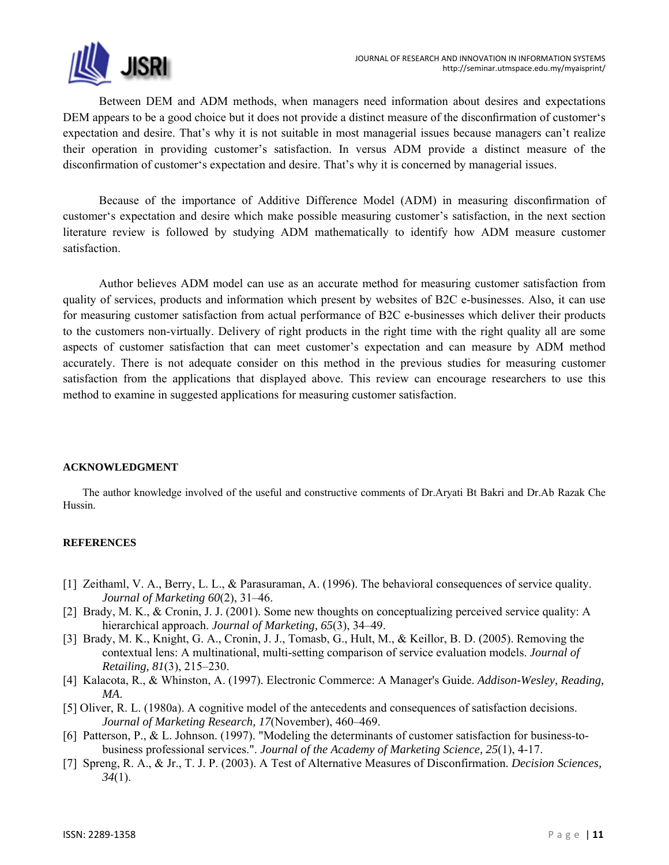Between DEM and ADM methods, when managers need information about desires and expectations DEM appears to be a good choice but it does not provide a distinct measure of the disconfirmation of customer's expectation and desire. That's why it is not suitable in most managerial issues because managers can't realize their operation in providing customer's satisfaction. In versus ADM provide a distinct measure of the disconfirmation of customer's expectation and desire. That's why it is concerned by managerial issues.

 Because of the importance of Additive Difference Model (ADM) in measuring disconfirmation of customer's expectation and desire which make possible measuring customer's satisfaction, in the next section literature review is followed by studying ADM mathematically to identify how ADM measure customer satisfaction.

 Author believes ADM model can use as an accurate method for measuring customer satisfaction from quality of services, products and information which present by websites of B2C e-businesses. Also, it can use for measuring customer satisfaction from actual performance of B2C e-businesses which deliver their products to the customers non-virtually. Delivery of right products in the right time with the right quality all are some aspects of customer satisfaction that can meet customer's expectation and can measure by ADM method accurately. There is not adequate consider on this method in the previous studies for measuring customer satisfaction from the applications that displayed above. This review can encourage researchers to use this method to examine in suggested applications for measuring customer satisfaction.

## **ACKNOWLEDGMENT**

The author knowledge involved of the useful and constructive comments of Dr.Aryati Bt Bakri and Dr.Ab Razak Che Hussin.

### **REFERENCES**

- [1] Zeithaml, V. A., Berry, L. L., & Parasuraman, A. (1996). The behavioral consequences of service quality. *Journal of Marketing 60*(2), 31–46.
- [2] Brady, M. K., & Cronin, J. J. (2001). Some new thoughts on conceptualizing perceived service quality: A hierarchical approach. *Journal of Marketing, 65*(3), 34–49.
- [3] Brady, M. K., Knight, G. A., Cronin, J. J., Tomasb, G., Hult, M., & Keillor, B. D. (2005). Removing the contextual lens: A multinational, multi-setting comparison of service evaluation models. *Journal of Retailing, 81*(3), 215–230.
- [4] Kalacota, R., & Whinston, A. (1997). Electronic Commerce: A Manager's Guide. *Addison-Wesley, Reading, MA*.
- [5] Oliver, R. L. (1980a). A cognitive model of the antecedents and consequences of satisfaction decisions. *Journal of Marketing Research, 17*(November), 460–469.
- [6] Patterson, P., & L. Johnson. (1997). "Modeling the determinants of customer satisfaction for business-tobusiness professional services.". *Journal of the Academy of Marketing Science, 25*(1), 4-17.
- [7] Spreng, R. A., & Jr., T. J. P. (2003). A Test of Alternative Measures of Disconfirmation. *Decision Sciences, 34*(1).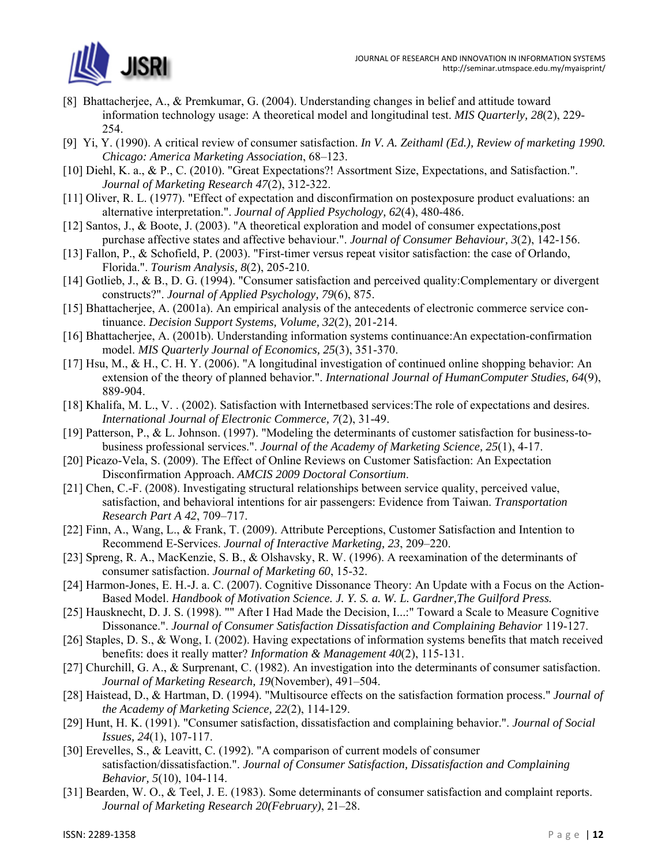

- [8] Bhattacherjee, A., & Premkumar, G. (2004). Understanding changes in belief and attitude toward information technology usage: A theoretical model and longitudinal test. *MIS Quarterly, 28*(2), 229- 254.
- [9] Yi, Y. (1990). A critical review of consumer satisfaction. *In V. A. Zeithaml (Ed.), Review of marketing 1990. Chicago: America Marketing Association*, 68–123.
- [10] Diehl, K. a., & P., C. (2010). "Great Expectations?! Assortment Size, Expectations, and Satisfaction.". *Journal of Marketing Research 47*(2), 312-322.
- [11] Oliver, R. L. (1977). "Effect of expectation and disconfirmation on postexposure product evaluations: an alternative interpretation.". *Journal of Applied Psychology, 62*(4), 480-486.
- [12] Santos, J., & Boote, J. (2003). "A theoretical exploration and model of consumer expectations,post purchase affective states and affective behaviour.". *Journal of Consumer Behaviour, 3*(2), 142-156.
- [13] Fallon, P., & Schofield, P. (2003). "First-timer versus repeat visitor satisfaction: the case of Orlando, Florida.". *Tourism Analysis, 8*(2), 205-210.
- [14] Gotlieb, J., & B., D. G. (1994). "Consumer satisfaction and perceived quality: Complementary or divergent constructs?". *Journal of Applied Psychology, 79*(6), 875.
- [15] Bhattacherjee, A. (2001a). An empirical analysis of the antecedents of electronic commerce service continuance. *Decision Support Systems, Volume, 32*(2), 201-214.
- [16] Bhattacherjee, A. (2001b). Understanding information systems continuance:An expectation-confirmation model. *MIS Quarterly Journal of Economics, 25*(3), 351-370.
- [17] Hsu, M., & H., C. H. Y. (2006). "A longitudinal investigation of continued online shopping behavior: An extension of the theory of planned behavior.". *International Journal of HumanComputer Studies, 64*(9), 889-904.
- [18] Khalifa, M. L., V. . (2002). Satisfaction with Internetbased services: The role of expectations and desires. *International Journal of Electronic Commerce, 7*(2), 31-49.
- [19] Patterson, P., & L. Johnson. (1997). "Modeling the determinants of customer satisfaction for business-tobusiness professional services.". *Journal of the Academy of Marketing Science, 25*(1), 4-17.
- [20] Picazo-Vela, S. (2009). The Effect of Online Reviews on Customer Satisfaction: An Expectation Disconfirmation Approach. *AMCIS 2009 Doctoral Consortium*.
- [21] Chen, C.-F. (2008). Investigating structural relationships between service quality, perceived value, satisfaction, and behavioral intentions for air passengers: Evidence from Taiwan. *Transportation Research Part A 42*, 709–717.
- [22] Finn, A., Wang, L., & Frank, T. (2009). Attribute Perceptions, Customer Satisfaction and Intention to Recommend E-Services. *Journal of Interactive Marketing, 23*, 209–220.
- [23] Spreng, R. A., MacKenzie, S. B., & Olshavsky, R. W. (1996). A reexamination of the determinants of consumer satisfaction. *Journal of Marketing 60*, 15-32.
- [24] Harmon-Jones, E. H.-J. a. C. (2007). Cognitive Dissonance Theory: An Update with a Focus on the Action-Based Model. *Handbook of Motivation Science. J. Y. S. a. W. L. Gardner,The Guilford Press.*
- [25] Hausknecht, D. J. S. (1998). "" After I Had Made the Decision, I...:" Toward a Scale to Measure Cognitive Dissonance.". *Journal of Consumer Satisfaction Dissatisfaction and Complaining Behavior* 119-127.
- [26] Staples, D. S., & Wong, I. (2002). Having expectations of information systems benefits that match received benefits: does it really matter? *Information & Management 40*(2), 115-131.
- [27] Churchill, G. A., & Surprenant, C. (1982). An investigation into the determinants of consumer satisfaction. *Journal of Marketing Research, 19*(November), 491–504.
- [28] Haistead, D., & Hartman, D. (1994). "Multisource effects on the satisfaction formation process." *Journal of the Academy of Marketing Science, 22*(2), 114-129.
- [29] Hunt, H. K. (1991). "Consumer satisfaction, dissatisfaction and complaining behavior.". *Journal of Social Issues, 24*(1), 107-117.
- [30] Erevelles, S., & Leavitt, C. (1992). "A comparison of current models of consumer satisfaction/dissatisfaction.". *Journal of Consumer Satisfaction, Dissatisfaction and Complaining Behavior, 5*(10), 104-114.
- [31] Bearden, W. O., & Teel, J. E. (1983). Some determinants of consumer satisfaction and complaint reports. *Journal of Marketing Research 20(February)*, 21–28.